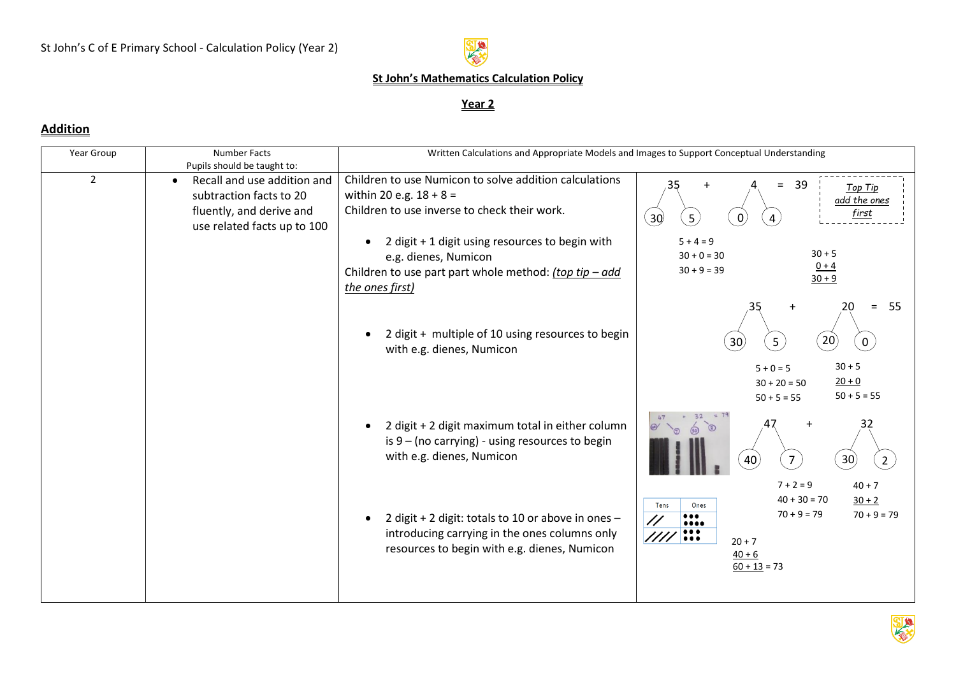

## **St John's Mathematics Calculation Policy**

#### **Year 2**

### **Addition**

| Year Group     | <b>Number Facts</b><br>Pupils should be taught to:                                                                             | Written Calculations and Appropriate Models and Images to Support Conceptual Understanding                                                           |                                                                                                                                                                                                                                                                                                 |
|----------------|--------------------------------------------------------------------------------------------------------------------------------|------------------------------------------------------------------------------------------------------------------------------------------------------|-------------------------------------------------------------------------------------------------------------------------------------------------------------------------------------------------------------------------------------------------------------------------------------------------|
| $\overline{2}$ | Recall and use addition and<br>$\bullet$<br>subtraction facts to 20<br>fluently, and derive and<br>use related facts up to 100 | Children to use Numicon to solve addition calculations<br>within 20 e.g. $18 + 8 =$<br>Children to use inverse to check their work.                  | 39<br>35<br>$=$<br>Top Tip<br>add the ones<br>first<br>$\overline{30}$<br>$\mathcal{L}$<br>$\mathbf{0}$<br>4                                                                                                                                                                                    |
|                |                                                                                                                                | 2 digit + 1 digit using resources to begin with<br>e.g. dienes, Numicon<br>Children to use part part whole method: (top tip - add<br>the ones first) | $5 + 4 = 9$<br>$30 + 5$<br>$30 + 0 = 30$<br>$0 + 4$<br>$30 + 9 = 39$<br>$30 + 9$                                                                                                                                                                                                                |
|                |                                                                                                                                | 2 digit + multiple of 10 using resources to begin<br>with e.g. dienes, Numicon                                                                       | 55<br>$=$<br>$\left( 20\right)$<br>$\left(30\right)$<br>5 <sub>1</sub><br>0                                                                                                                                                                                                                     |
|                |                                                                                                                                |                                                                                                                                                      | $30 + 5$<br>$5 + 0 = 5$<br>$20 + 0$<br>$30 + 20 = 50$<br>$50 + 5 = 55$<br>$50 + 5 = 55$                                                                                                                                                                                                         |
|                |                                                                                                                                | 2 digit + 2 digit maximum total in either column<br>is $9 - (no carrying) - using resources to begin$<br>with e.g. dienes, Numicon                   | $= 79$<br>32<br>32<br>$\odot$<br>30 <sub>2</sub><br>$\overline{7}$<br>$\overline{2}$<br>40                                                                                                                                                                                                      |
|                |                                                                                                                                | 2 digit + 2 digit: totals to 10 or above in ones -<br>introducing carrying in the ones columns only<br>resources to begin with e.g. dienes, Numicon  | $7 + 2 = 9$<br>$40 + 7$<br>$40 + 30 = 70$<br>$30 + 2$<br>Ones<br>Tens<br>$70 + 9 = 79$<br>$70 + 9 = 79$<br>$\bullet\bullet\bullet$<br>$\bullet\bullet\bullet\bullet$<br>$\bullet\bullet\bullet$<br>$\frac{\frac{1}{2}}{1}$<br>$\bullet\bullet\bullet$<br>$20 + 7$<br>$40 + 6$<br>$60 + 13 = 73$ |

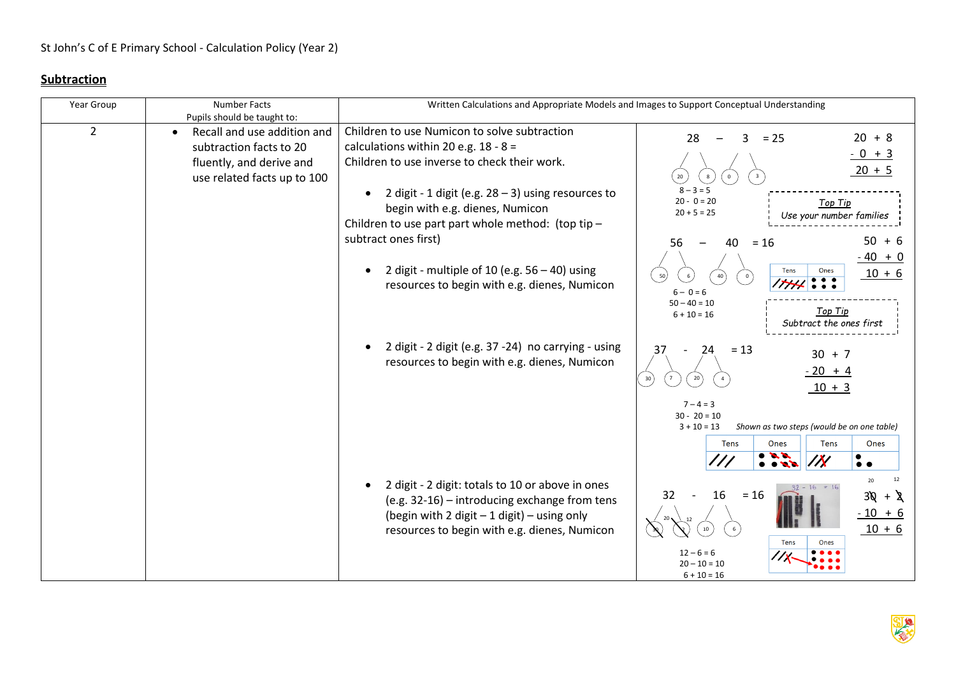## **Subtraction**

| <b>Number Facts</b>                      | Written Calculations and Appropriate Models and Images to Support Conceptual Understanding |                                                                                                                                                                                                                                                                                                                                                                                                                                                                                                                                                                                      |
|------------------------------------------|--------------------------------------------------------------------------------------------|--------------------------------------------------------------------------------------------------------------------------------------------------------------------------------------------------------------------------------------------------------------------------------------------------------------------------------------------------------------------------------------------------------------------------------------------------------------------------------------------------------------------------------------------------------------------------------------|
| Pupils should be taught to:              |                                                                                            |                                                                                                                                                                                                                                                                                                                                                                                                                                                                                                                                                                                      |
| Recall and use addition and<br>$\bullet$ |                                                                                            | $20 + 8$<br>$= 25$<br>28<br>3.                                                                                                                                                                                                                                                                                                                                                                                                                                                                                                                                                       |
| subtraction facts to 20                  |                                                                                            | $-0 + 3$                                                                                                                                                                                                                                                                                                                                                                                                                                                                                                                                                                             |
| fluently, and derive and                 | Children to use inverse to check their work.                                               |                                                                                                                                                                                                                                                                                                                                                                                                                                                                                                                                                                                      |
| use related facts up to 100              |                                                                                            | $20 + 5$<br>20<br>8<br>$\mathbf{0}$                                                                                                                                                                                                                                                                                                                                                                                                                                                                                                                                                  |
|                                          | 2 digit - 1 digit (e.g. $28 - 3$ ) using resources to                                      | $8 - 3 = 5$                                                                                                                                                                                                                                                                                                                                                                                                                                                                                                                                                                          |
|                                          | begin with e.g. dienes, Numicon                                                            | $20 - 0 = 20$<br><b>Top Tip</b><br>$20 + 5 = 25$                                                                                                                                                                                                                                                                                                                                                                                                                                                                                                                                     |
|                                          |                                                                                            | Use your number families                                                                                                                                                                                                                                                                                                                                                                                                                                                                                                                                                             |
|                                          |                                                                                            | $50 + 6$<br>$= 16$<br>56<br>40                                                                                                                                                                                                                                                                                                                                                                                                                                                                                                                                                       |
|                                          |                                                                                            | $-40 + 0$                                                                                                                                                                                                                                                                                                                                                                                                                                                                                                                                                                            |
|                                          |                                                                                            | Tens<br>Ones<br>$10 + 6$                                                                                                                                                                                                                                                                                                                                                                                                                                                                                                                                                             |
|                                          |                                                                                            | 50<br>40<br>$\overline{\cdots}$<br>7741                                                                                                                                                                                                                                                                                                                                                                                                                                                                                                                                              |
|                                          |                                                                                            | $6 - 0 = 6$<br>$50 - 40 = 10$                                                                                                                                                                                                                                                                                                                                                                                                                                                                                                                                                        |
|                                          |                                                                                            | Top Tip<br>$6 + 10 = 16$                                                                                                                                                                                                                                                                                                                                                                                                                                                                                                                                                             |
|                                          |                                                                                            | Subtract the ones first                                                                                                                                                                                                                                                                                                                                                                                                                                                                                                                                                              |
|                                          |                                                                                            | $= 13$<br>37<br>24                                                                                                                                                                                                                                                                                                                                                                                                                                                                                                                                                                   |
|                                          |                                                                                            | $30 + 7$                                                                                                                                                                                                                                                                                                                                                                                                                                                                                                                                                                             |
|                                          |                                                                                            | $-20 + 4$<br>30<br>20                                                                                                                                                                                                                                                                                                                                                                                                                                                                                                                                                                |
|                                          |                                                                                            | $10 + 3$                                                                                                                                                                                                                                                                                                                                                                                                                                                                                                                                                                             |
|                                          |                                                                                            | $7 - 4 = 3$                                                                                                                                                                                                                                                                                                                                                                                                                                                                                                                                                                          |
|                                          |                                                                                            | $30 - 20 = 10$                                                                                                                                                                                                                                                                                                                                                                                                                                                                                                                                                                       |
|                                          |                                                                                            | $3 + 10 = 13$<br>Shown as two steps (would be on one table)                                                                                                                                                                                                                                                                                                                                                                                                                                                                                                                          |
|                                          |                                                                                            | Tens<br>Ones<br><b>Tens</b><br>Ones                                                                                                                                                                                                                                                                                                                                                                                                                                                                                                                                                  |
|                                          |                                                                                            | $\ddot{\bullet}$ .                                                                                                                                                                                                                                                                                                                                                                                                                                                                                                                                                                   |
|                                          |                                                                                            | 12<br>20                                                                                                                                                                                                                                                                                                                                                                                                                                                                                                                                                                             |
|                                          |                                                                                            | 16<br>32<br>$= 16$<br>$30 + 2$                                                                                                                                                                                                                                                                                                                                                                                                                                                                                                                                                       |
|                                          |                                                                                            | $-10 + 6$                                                                                                                                                                                                                                                                                                                                                                                                                                                                                                                                                                            |
|                                          |                                                                                            | $10 + 6$<br>$10\,$<br>6                                                                                                                                                                                                                                                                                                                                                                                                                                                                                                                                                              |
|                                          |                                                                                            | Tens<br>Ones                                                                                                                                                                                                                                                                                                                                                                                                                                                                                                                                                                         |
|                                          |                                                                                            | $12 - 6 = 6$                                                                                                                                                                                                                                                                                                                                                                                                                                                                                                                                                                         |
|                                          |                                                                                            | $20 - 10 = 10$<br>$6 + 10 = 16$                                                                                                                                                                                                                                                                                                                                                                                                                                                                                                                                                      |
|                                          |                                                                                            | Children to use Numicon to solve subtraction<br>calculations within 20 e.g. $18 - 8 =$<br>Children to use part part whole method: (top tip -<br>subtract ones first)<br>2 digit - multiple of 10 (e.g. $56 - 40$ ) using<br>resources to begin with e.g. dienes, Numicon<br>2 digit - 2 digit (e.g. 37 - 24) no carrying - using<br>resources to begin with e.g. dienes, Numicon<br>2 digit - 2 digit: totals to 10 or above in ones<br>(e.g. 32-16) - introducing exchange from tens<br>(begin with 2 digit - 1 digit) - using only<br>resources to begin with e.g. dienes, Numicon |